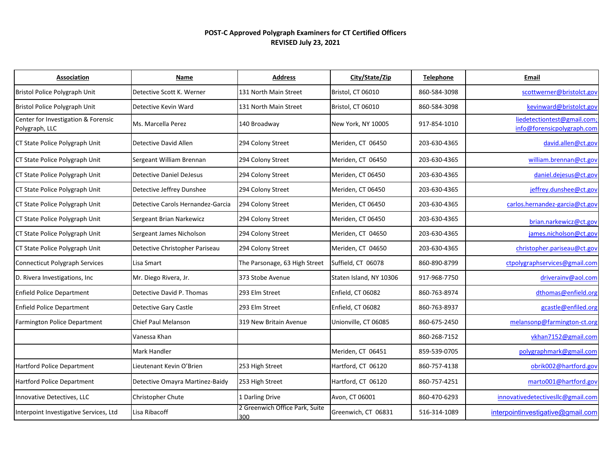## **POST-C Approved Polygraph Examiners for CT Certified Officers REVISED July 23, 2021**

| Association                                           | Name                              | <b>Address</b>                        | City/State/Zip          | <b>Telephone</b> | Email                                                     |
|-------------------------------------------------------|-----------------------------------|---------------------------------------|-------------------------|------------------|-----------------------------------------------------------|
| Bristol Police Polygraph Unit                         | Detective Scott K. Werner         | 131 North Main Street                 | Bristol, CT 06010       | 860-584-3098     | scottwerner@bristolct.gov                                 |
| Bristol Police Polygraph Unit                         | Detective Kevin Ward              | 131 North Main Street                 | Bristol, CT 06010       | 860-584-3098     | kevinward@bristolct.gov                                   |
| Center for Investigation & Forensic<br>Polygraph, LLC | Ms. Marcella Perez                | 140 Broadway                          | New York, NY 10005      | 917-854-1010     | liedetectiontest@gmail.com;<br>info@forensicpolygraph.com |
| CT State Police Polygraph Unit                        | Detective David Allen             | 294 Colony Street                     | Meriden, CT 06450       | 203-630-4365     | david.allen@ct.gov                                        |
| CT State Police Polygraph Unit                        | Sergeant William Brennan          | 294 Colony Street                     | Meriden, CT 06450       | 203-630-4365     | william.brennan@ct.gov                                    |
| CT State Police Polygraph Unit                        | <b>Detective Daniel DeJesus</b>   | 294 Colony Street                     | Meriden, CT 06450       | 203-630-4365     | daniel.dejesus@ct.gov                                     |
| CT State Police Polygraph Unit                        | Detective Jeffrey Dunshee         | 294 Colony Street                     | Meriden, CT 06450       | 203-630-4365     | jeffrey.dunshee@ct.gov                                    |
| CT State Police Polygraph Unit                        | Detective Carols Hernandez-Garcia | 294 Colony Street                     | Meriden, CT 06450       | 203-630-4365     | carlos.hernandez-garcia@ct.gov                            |
| CT State Police Polygraph Unit                        | Sergeant Brian Narkewicz          | 294 Colony Street                     | Meriden, CT 06450       | 203-630-4365     | brian.narkewicz@ct.gov                                    |
| CT State Police Polygraph Unit                        | Sergeant James Nicholson          | 294 Colony Street                     | Meriden, CT 04650       | 203-630-4365     | james.nicholson@ct.gov                                    |
| CT State Police Polygraph Unit                        | Detective Christopher Pariseau    | 294 Colony Street                     | Meriden, CT 04650       | 203-630-4365     | christopher.pariseau@ct.gov                               |
| <b>Connecticut Polygraph Services</b>                 | Lisa Smart                        | The Parsonage, 63 High Street         | Suffield, CT 06078      | 860-890-8799     | ctpolygraphservices@gmail.com                             |
| D. Rivera Investigations, Inc.                        | Mr. Diego Rivera, Jr.             | 373 Stobe Avenue                      | Staten Island, NY 10306 | 917-968-7750     | driverainv@aol.com                                        |
| <b>Enfield Police Department</b>                      | Detective David P. Thomas         | 293 Elm Street                        | Enfield, CT 06082       | 860-763-8974     | dthomas@enfield.org                                       |
| <b>Enfield Police Department</b>                      | <b>Detective Gary Castle</b>      | 293 Elm Street                        | Enfield, CT 06082       | 860-763-8937     | gcastle@enfiled.org                                       |
| Farmington Police Department                          | <b>Chief Paul Melanson</b>        | 319 New Britain Avenue                | Unionville, CT 06085    | 860-675-2450     | melansonp@farmington-ct.org                               |
|                                                       | Vanessa Khan                      |                                       |                         | 860-268-7152     | vkhan7152@gmail.com                                       |
|                                                       | Mark Handler                      |                                       | Meriden, CT 06451       | 859-539-0705     | polygraphmark@gmail.com                                   |
| <b>Hartford Police Department</b>                     | Lieutenant Kevin O'Brien          | 253 High Street                       | Hartford, CT 06120      | 860-757-4138     | obrik002@hartford.gov                                     |
| Hartford Police Department                            | Detective Omayra Martinez-Baidy   | 253 High Street                       | Hartford, CT 06120      | 860-757-4251     | marto001@hartford.gov                                     |
| Innovative Detectives, LLC                            | Christopher Chute                 | 1 Darling Drive                       | Avon, CT 06001          | 860-470-6293     | innovativedetectivesllc@gmail.com                         |
| Interpoint Investigative Services, Ltd                | Lisa Ribacoff                     | 2 Greenwich Office Park, Suite<br>300 | Greenwich, CT 06831     | 516-314-1089     | interpointinvestigative@gmail.com                         |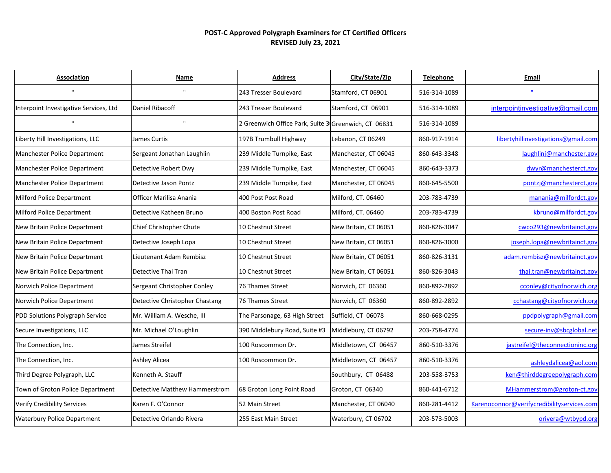## **POST-C Approved Polygraph Examiners for CT Certified Officers REVISED July 23, 2021**

| <b>Association</b>                     | Name                                 | <b>Address</b>                                       | City/State/Zip        | <b>Telephone</b> | Email                                      |
|----------------------------------------|--------------------------------------|------------------------------------------------------|-----------------------|------------------|--------------------------------------------|
| $\mathbf{u}$                           | $\mathbf{u}$                         | 243 Tresser Boulevard                                | Stamford, CT 06901    | 516-314-1089     | $\mathbf{u}$                               |
| Interpoint Investigative Services, Ltd | Daniel Ribacoff                      | 243 Tresser Boulevard                                | Stamford, CT 06901    | 516-314-1089     | interpointinvestigative@gmail.com          |
| $\mathbf{u}$                           | $\mathbf{H}$                         | 2 Greenwich Office Park, Suite 3 Greenwich, CT 06831 |                       | 516-314-1089     |                                            |
| Liberty Hill Investigations, LLC       | James Curtis                         | 197B Trumbull Highway                                | Lebanon, CT 06249     | 860-917-1914     | libertyhillinvestigations@gmail.com        |
| Manchester Police Department           | Sergeant Jonathan Laughlin           | 239 Middle Turnpike, East                            | Manchester, CT 06045  | 860-643-3348     | laughlinj@manchester.gov                   |
| Manchester Police Department           | Detective Robert Dwy                 | 239 Middle Turnpike, East                            | Manchester, CT 06045  | 860-643-3373     | dwyr@manchesterct.gov                      |
| Manchester Police Department           | Detective Jason Pontz                | 239 Middle Turnpike, East                            | Manchester, CT 06045  | 860-645-5500     | pontzj@manchesterct.gov                    |
| Milford Police Department              | Officer Marilisa Anania              | 400 Post Post Road                                   | Milford, CT. 06460    | 203-783-4739     | manania@milfordct.gov                      |
| Milford Police Department              | Detective Katheen Bruno              | 400 Boston Post Road                                 | Milford, CT. 06460    | 203-783-4739     | kbruno@milfordct.gov                       |
| New Britain Police Department          | Chief Christopher Chute              | 10 Chestnut Street                                   | New Britain, CT 06051 | 860-826-3047     | cwco293@newbritainct.gov                   |
| New Britain Police Department          | Detective Joseph Lopa                | 10 Chestnut Street                                   | New Britain, CT 06051 | 860-826-3000     | joseph.lopa@newbritainct.gov               |
| New Britain Police Department          | Lieutenant Adam Rembisz              | 10 Chestnut Street                                   | New Britain, CT 06051 | 860-826-3131     | adam.rembisz@newbritainct.gov              |
| New Britain Police Department          | Detective Thai Tran                  | 10 Chestnut Street                                   | New Britain, CT 06051 | 860-826-3043     | thai.tran@newbritainct.gov                 |
| Norwich Police Department              | Sergeant Christopher Conley          | 76 Thames Street                                     | Norwich, CT 06360     | 860-892-2892     | cconley@cityofnorwich.org                  |
| Norwich Police Department              | Detective Christopher Chastang       | <b>76 Thames Street</b>                              | Norwich, CT 06360     | 860-892-2892     | cchastang@cityofnorwich.org                |
| PDD Solutions Polygraph Service        | Mr. William A. Wesche, III           | The Parsonage, 63 High Street                        | Suffield, CT 06078    | 860-668-0295     | ppdpolygraph@gmail.com                     |
| Secure Investigations, LLC             | Mr. Michael O'Loughlin               | 390 Middlebury Road, Suite #3                        | Middlebury, CT 06792  | 203-758-4774     | secure-inv@sbcglobal.net                   |
| The Connection, Inc.                   | James Streifel                       | 100 Roscommon Dr.                                    | Middletown, CT 06457  | 860-510-3376     | jastreifel@theconnectioninc.org            |
| The Connection, Inc.                   | Ashley Alicea                        | 100 Roscommon Dr.                                    | Middletown, CT 06457  | 860-510-3376     | ashleydalicea@aol.com                      |
| Third Degree Polygraph, LLC            | Kenneth A. Stauff                    |                                                      | Southbury, CT 06488   | 203-558-3753     | ken@thirddegreepolygraph.com               |
| Town of Groton Police Department       | <b>Detective Matthew Hammerstrom</b> | 68 Groton Long Point Road                            | Groton, CT 06340      | 860-441-6712     | MHammerstrom@groton-ct.gov                 |
| Verify Credibility Services            | Karen F. O'Connor                    | 52 Main Street                                       | Manchester, CT 06040  | 860-281-4412     | Karenoconnor@verifycredibilityservices.com |
| <b>Waterbury Police Department</b>     | Detective Orlando Rivera             | 255 East Main Street                                 | Waterbury, CT 06702   | 203-573-5003     | orivera@wtbypd.org                         |